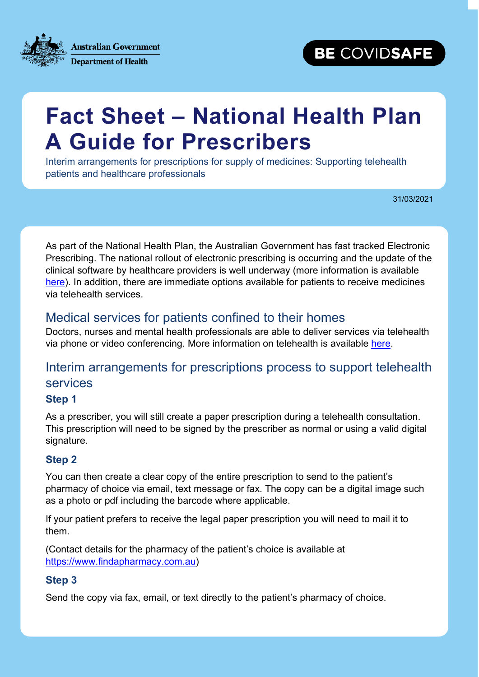**Australian Government Department of Health** 

# **BE COVIDSAFE**

# **Fact Sheet – National Health Plan A Guide for Prescribers**

Interim arrangements for prescriptions for supply of medicines: Supporting telehealth patients and healthcare professionals

31/03/2021

As part of the National Health Plan, the Australian Government has fast tracked Electronic Prescribing. The national rollout of electronic prescribing is occurring and the update of the clinical software by healthcare providers is well underway (more information is available [here\)](https://www.health.gov.au/initiatives-and-programs/electronic-prescribing). In addition, there are immediate options available for patients to receive medicines via telehealth services.

### Medical services for patients confined to their homes

Doctors, nurses and mental health professionals are able to deliver services via telehealth via phone or video conferencing. More information on telehealth is available [here.](http://www.mbsonline.gov.au/internet/mbsonline/publishing.nsf/Content/news-210401)

## Interim arrangements for prescriptions process to support telehealth services

#### **Step 1**

As a prescriber, you will still create a paper prescription during a telehealth consultation. This prescription will need to be signed by the prescriber as normal or using a valid digital signature.

#### **Step 2**

You can then create a clear copy of the entire prescription to send to the patient's pharmacy of choice via email, text message or fax. The copy can be a digital image such as a photo or pdf including the barcode where applicable.

If your patient prefers to receive the legal paper prescription you will need to mail it to them.

(Contact details for the pharmacy of the patient's choice is available at [https://www.findapharmacy.com.au\)](https://www.findapharmacy.com.au/)

#### **Step 3**

Send the copy via fax, email, or text directly to the patient's pharmacy of choice.